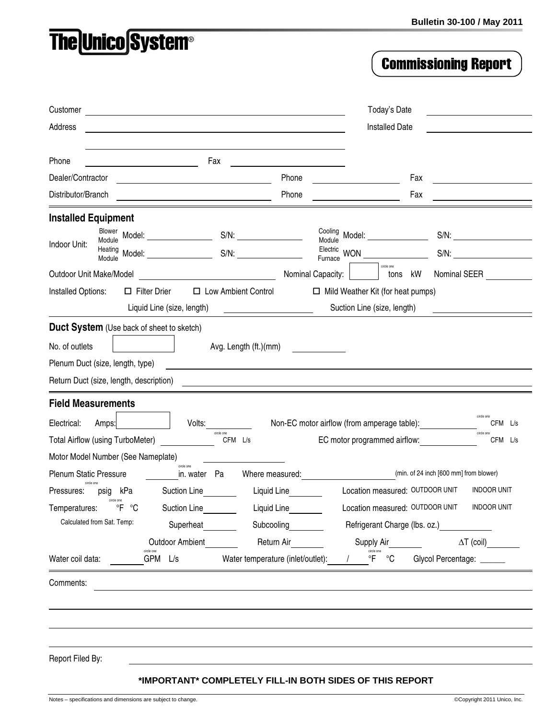## **The Unico System®**

## **Commissioning Report**

| Customer                                                  |                                                | Today's Date                      |                                                                             |                                             |
|-----------------------------------------------------------|------------------------------------------------|-----------------------------------|-----------------------------------------------------------------------------|---------------------------------------------|
| Address                                                   |                                                | <b>Installed Date</b>             |                                                                             |                                             |
|                                                           |                                                |                                   |                                                                             |                                             |
| Phone                                                     | Fax                                            |                                   |                                                                             |                                             |
| Dealer/Contractor                                         |                                                | Phone                             | Fax                                                                         |                                             |
| Distributor/Branch                                        | <u> 1989 - Johann Barn, mars eta inperiodo</u> | Phone                             | Fax                                                                         |                                             |
| <b>Installed Equipment</b>                                |                                                |                                   |                                                                             |                                             |
| Blower<br>Module                                          | Model: ______________________                  | $S/N$ :                           | Cooling<br>Model: _____________<br>Module                                   | $S/N$ :                                     |
| Indoor Unit:<br>Heating<br>Module                         |                                                |                                   | Electric<br>WON <b>WON</b><br>Furnace                                       | $S/N$ :                                     |
| Outdoor Unit Make/Model                                   |                                                | Nominal Capacity:                 | circle one<br>kW<br>tons                                                    | Nominal SEER                                |
| Installed Options:                                        | $\Box$ Filter Drier<br>□ Low Ambient Control   |                                   | $\Box$ Mild Weather Kit (for heat pumps)                                    |                                             |
|                                                           | Liquid Line (size, length)                     |                                   | Suction Line (size, length)                                                 |                                             |
| Duct System (Use back of sheet to sketch)                 |                                                |                                   |                                                                             |                                             |
| No. of outlets                                            |                                                | Avg. Length (ft.)(mm)             |                                                                             |                                             |
| Plenum Duct (size, length, type)                          |                                                |                                   |                                                                             |                                             |
| Return Duct (size, length, description)                   |                                                |                                   |                                                                             |                                             |
| <b>Field Measurements</b>                                 |                                                |                                   |                                                                             |                                             |
| Electrical:                                               | Volts:                                         |                                   |                                                                             |                                             |
| Amps:<br>Total Airflow (using TurboMeter)                 | circle one                                     | CFM L/s                           | Non-EC motor airflow (from amperage table):<br>EC motor programmed airflow: | CFM L/s<br>circle one<br>CFM L/s            |
| Motor Model Number (See Nameplate)                        |                                                |                                   |                                                                             |                                             |
| Plenum Static Pressure                                    | circle one<br>in. water Pa                     | Where measured:                   |                                                                             | (min. of 24 inch [600 mm] from blower)      |
| kPa<br>Pressures:<br>psig                                 | Suction Line                                   | Liquid Line                       | Location measured: OUTDOOR UNIT                                             | <b>INDOOR UNIT</b>                          |
| circle one<br>Temperatures: <sup>o</sup> F <sup>o</sup> C | Suction Line                                   | Liquid Line                       |                                                                             | Location measured: OUTDOOR UNIT INDOOR UNIT |
| Calculated from Sat. Temp:                                | Superheat                                      | Subcooling                        |                                                                             | Refrigerant Charge (lbs. oz.)               |
|                                                           | Outdoor Ambient                                | Return Air                        | Supply Air                                                                  | $\Delta T$ (coil)                           |
| Water coil data:                                          | GPM L/s                                        | Water temperature (inlet/outlet): | circle one<br>$\overline{F}$<br>$^{\circ}$ C                                | Glycol Percentage: ______                   |
|                                                           |                                                |                                   |                                                                             |                                             |
| Comments:                                                 |                                                |                                   |                                                                             |                                             |
|                                                           |                                                |                                   |                                                                             |                                             |
|                                                           |                                                |                                   |                                                                             |                                             |
|                                                           |                                                |                                   |                                                                             |                                             |
| Report Filed By:                                          |                                                |                                   |                                                                             |                                             |
|                                                           |                                                |                                   | *IMPORTANT* COMPLETELY FILL-IN BOTH SIDES OF THIS REPORT                    |                                             |